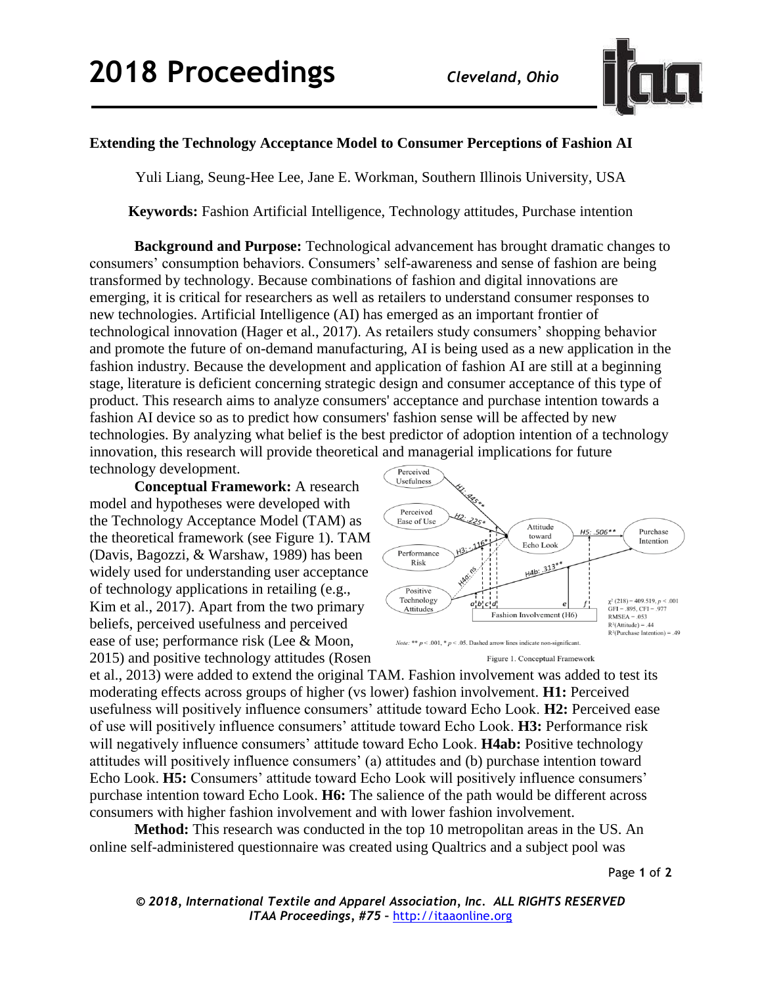

## **Extending the Technology Acceptance Model to Consumer Perceptions of Fashion AI**

Yuli Liang, Seung-Hee Lee, Jane E. Workman, Southern Illinois University, USA

**Keywords:** Fashion Artificial Intelligence, Technology attitudes, Purchase intention

**Background and Purpose:** Technological advancement has brought dramatic changes to consumers' consumption behaviors. Consumers' self-awareness and sense of fashion are being transformed by technology. Because combinations of fashion and digital innovations are emerging, it is critical for researchers as well as retailers to understand consumer responses to new technologies. Artificial Intelligence (AI) has emerged as an important frontier of technological innovation (Hager et al., 2017). As retailers study consumers' shopping behavior and promote the future of on-demand manufacturing, AI is being used as a new application in the fashion industry. Because the development and application of fashion AI are still at a beginning stage, literature is deficient concerning strategic design and consumer acceptance of this type of product. This research aims to analyze consumers' acceptance and purchase intention towards a fashion AI device so as to predict how consumers' fashion sense will be affected by new technologies. By analyzing what belief is the best predictor of adoption intention of a technology innovation, this research will provide theoretical and managerial implications for future technology development.

**Conceptual Framework:** A research model and hypotheses were developed with the Technology Acceptance Model (TAM) as the theoretical framework (see Figure 1). TAM (Davis, Bagozzi, & Warshaw, 1989) has been widely used for understanding user acceptance of technology applications in retailing (e.g., Kim et al., 2017). Apart from the two primary beliefs, perceived usefulness and perceived ease of use; performance risk (Lee & Moon, 2015) and positive technology attitudes (Rosen





et al., 2013) were added to extend the original TAM. Fashion involvement was added to test its moderating effects across groups of higher (vs lower) fashion involvement. **H1:** Perceived usefulness will positively influence consumers' attitude toward Echo Look. **H2:** Perceived ease of use will positively influence consumers' attitude toward Echo Look. **H3:** Performance risk will negatively influence consumers' attitude toward Echo Look. **H4ab:** Positive technology attitudes will positively influence consumers' (a) attitudes and (b) purchase intention toward Echo Look. **H5:** Consumers' attitude toward Echo Look will positively influence consumers' purchase intention toward Echo Look. **H6:** The salience of the path would be different across consumers with higher fashion involvement and with lower fashion involvement.

**Method:** This research was conducted in the top 10 metropolitan areas in the US. An online self-administered questionnaire was created using Qualtrics and a subject pool was

Page **1** of **2**

*© 2018, International Textile and Apparel Association, Inc. ALL RIGHTS RESERVED ITAA Proceedings, #75 –* [http://itaaonline.org](http://itaaonline.org/)